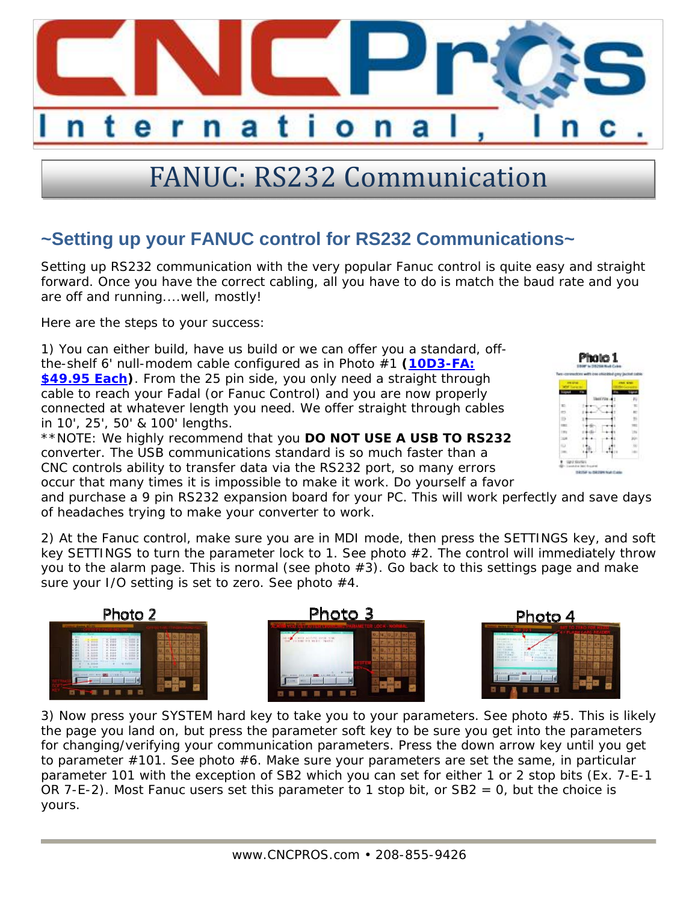

## FANUC: RS232 Communication

## **~Setting up your FANUC control for RS232 Communications~**

Setting up RS232 communication with the very popular Fanuc control is quite easy and straight forward. Once you have the correct cabling, all you have to do is match the baud rate and you are off and running....well, mostly!

Here are the steps to your success:

1) You can either build, have us build or we can offer you a standard, offthe-shelf 6' null-modem cable configured as in Photo #1 **(10D3-FA: \$49.95 Each)**. From the 25 pin side, you only need a straight through cable to reach your Fadal (or Fanuc Control) and you are now properly connected at whatever length you need. We offer straight through cables in 10', 25', 50' & 100' lengths.

\*\*NOTE: We highly recommend that you **DO NOT USE A USB TO RS232** converter. The USB communications standard is so much faster than a CNC controls ability to transfer data via the RS232 port, so many errors occur that many times it is impossible to make it work. Do yourself a favor

and purchase a 9 pin RS232 expansion board for your PC. This will work perfectly and save days of headaches trying to make your converter to work.

2) At the Fanuc control, make sure you are in MDI mode, then press the SETTINGS key, and soft key SETTINGS to turn the parameter lock to 1. See photo #2. The control will immediately throw you to the alarm page. This is normal (see photo  $#3$ ). Go back to this settings page and make sure your I/O setting is set to zero. See photo #4.







3) Now press your SYSTEM hard key to take you to your parameters. See photo #5. This is likely the page you land on, but press the parameter soft key to be sure you get into the parameters for changing/verifying your communication parameters. Press the down arrow key until you get to parameter  $\#101$ . See photo  $\#6$ . Make sure your parameters are set the same, in particular parameter 101 with the exception of SB2 which you can set for either 1 or 2 stop bits (Ex. 7-E-1 OR 7-E-2). Most Fanuc users set this parameter to 1 stop bit, or  $SB2 = 0$ , but the choice is yours.